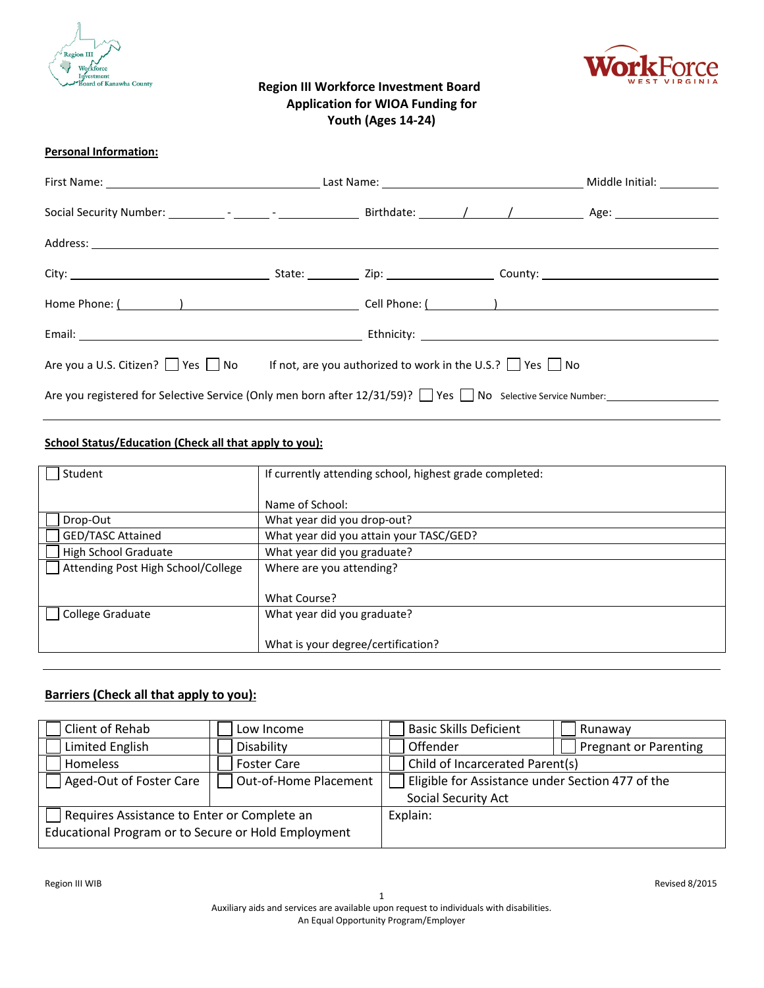



# **Region III Workforce Investment Board Application for WIOA Funding for Youth (Ages 14-24)**

### **Personal Information:**

| Are you a U.S. Citizen? See Ref No If not, are you authorized to work in the U.S.? See Ref No                |  |  |  |
|--------------------------------------------------------------------------------------------------------------|--|--|--|
| Are you registered for Selective Service (Only men born after $12/31/59$ )? Yes No Selective Service Number: |  |  |  |

### **School Status/Education (Check all that apply to you):**

| Student                            | If currently attending school, highest grade completed: |
|------------------------------------|---------------------------------------------------------|
|                                    |                                                         |
|                                    | Name of School:                                         |
| Drop-Out                           | What year did you drop-out?                             |
| <b>GED/TASC Attained</b>           | What year did you attain your TASC/GED?                 |
| <b>High School Graduate</b>        | What year did you graduate?                             |
| Attending Post High School/College | Where are you attending?                                |
|                                    |                                                         |
|                                    | What Course?                                            |
| College Graduate                   | What year did you graduate?                             |
|                                    |                                                         |
|                                    | What is your degree/certification?                      |

# **Barriers (Check all that apply to you):**

| Client of Rehab                                     | Low Income            | <b>Basic Skills Deficient</b>                    | Runaway                      |
|-----------------------------------------------------|-----------------------|--------------------------------------------------|------------------------------|
| Limited English                                     | Disability            | Offender                                         | <b>Pregnant or Parenting</b> |
| <b>Homeless</b>                                     | <b>Foster Care</b>    | Child of Incarcerated Parent(s)                  |                              |
| Aged-Out of Foster Care                             | Out-of-Home Placement | Eligible for Assistance under Section 477 of the |                              |
|                                                     |                       | Social Security Act                              |                              |
| Requires Assistance to Enter or Complete an         |                       | Explain:                                         |                              |
| Educational Program or to Secure or Hold Employment |                       |                                                  |                              |
|                                                     |                       |                                                  |                              |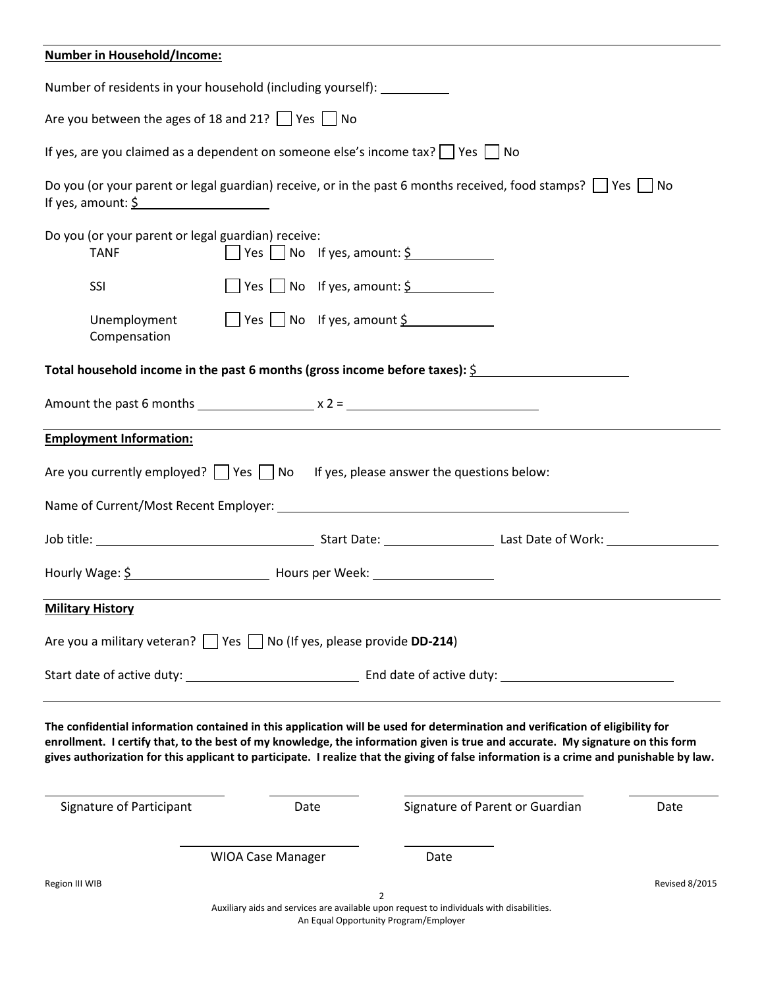| <b>Number in Household/Income:</b>                                                                                                                                                                                                                                                                                                                                                                         |                          |                                                                                          |                                 |                       |
|------------------------------------------------------------------------------------------------------------------------------------------------------------------------------------------------------------------------------------------------------------------------------------------------------------------------------------------------------------------------------------------------------------|--------------------------|------------------------------------------------------------------------------------------|---------------------------------|-----------------------|
| Number of residents in your household (including yourself): __________                                                                                                                                                                                                                                                                                                                                     |                          |                                                                                          |                                 |                       |
| Are you between the ages of 18 and 21? $\Box$ Yes $\Box$ No                                                                                                                                                                                                                                                                                                                                                |                          |                                                                                          |                                 |                       |
| If yes, are you claimed as a dependent on someone else's income tax? $\Box$ Yes $\Box$ No                                                                                                                                                                                                                                                                                                                  |                          |                                                                                          |                                 |                       |
| Do you (or your parent or legal guardian) receive, or in the past 6 months received, food stamps? $\Box$ Yes $\Box$ No<br>If yes, amount: $\frac{5}{2}$                                                                                                                                                                                                                                                    |                          |                                                                                          |                                 |                       |
| Do you (or your parent or legal guardian) receive:<br><b>TANF</b>                                                                                                                                                                                                                                                                                                                                          |                          | $\Box$ Yes $\Box$ No If yes, amount: $\frac{5}{2}$                                       |                                 |                       |
| SSI                                                                                                                                                                                                                                                                                                                                                                                                        |                          | $\Box$ Yes $\Box$ No If yes, amount: $\frac{6}{5}$                                       |                                 |                       |
| Unemployment<br>Compensation                                                                                                                                                                                                                                                                                                                                                                               |                          | $\Box$ Yes $\Box$ No If yes, amount $\frac{1}{2}$                                        |                                 |                       |
| Total household income in the past 6 months (gross income before taxes): $\frac{5}{2}$                                                                                                                                                                                                                                                                                                                     |                          |                                                                                          |                                 |                       |
| Amount the past 6 months $\qquad \qquad x \, 2 =$                                                                                                                                                                                                                                                                                                                                                          |                          |                                                                                          |                                 |                       |
| <b>Employment Information:</b>                                                                                                                                                                                                                                                                                                                                                                             |                          |                                                                                          |                                 |                       |
| Are you currently employed? $\Box$ Yes $\Box$ No If yes, please answer the questions below:                                                                                                                                                                                                                                                                                                                |                          |                                                                                          |                                 |                       |
|                                                                                                                                                                                                                                                                                                                                                                                                            |                          |                                                                                          |                                 |                       |
|                                                                                                                                                                                                                                                                                                                                                                                                            |                          |                                                                                          |                                 |                       |
|                                                                                                                                                                                                                                                                                                                                                                                                            |                          |                                                                                          |                                 |                       |
| <b>Military History</b>                                                                                                                                                                                                                                                                                                                                                                                    |                          |                                                                                          |                                 |                       |
| Are you a military veteran?   Yes   No (If yes, please provide DD-214)                                                                                                                                                                                                                                                                                                                                     |                          |                                                                                          |                                 |                       |
|                                                                                                                                                                                                                                                                                                                                                                                                            |                          |                                                                                          |                                 |                       |
| The confidential information contained in this application will be used for determination and verification of eligibility for<br>enrollment. I certify that, to the best of my knowledge, the information given is true and accurate. My signature on this form<br>gives authorization for this applicant to participate. I realize that the giving of false information is a crime and punishable by law. |                          |                                                                                          |                                 |                       |
| Signature of Participant                                                                                                                                                                                                                                                                                                                                                                                   | Date                     |                                                                                          | Signature of Parent or Guardian | Date                  |
|                                                                                                                                                                                                                                                                                                                                                                                                            | <b>WIOA Case Manager</b> | Date                                                                                     |                                 |                       |
| Region III WIB                                                                                                                                                                                                                                                                                                                                                                                             |                          | 2                                                                                        |                                 | <b>Revised 8/2015</b> |
|                                                                                                                                                                                                                                                                                                                                                                                                            |                          | Auxiliary aids and services are available upon request to individuals with disabilities. |                                 |                       |

An Equal Opportunity Program/Employer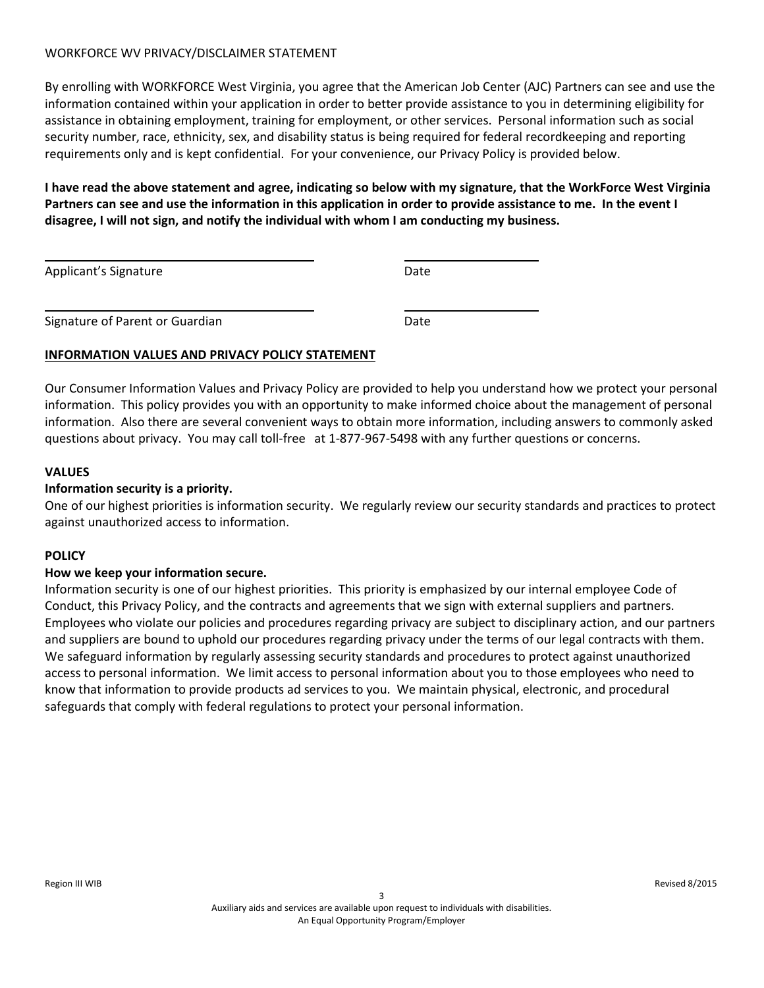# WORKFORCE WV PRIVACY/DISCLAIMER STATEMENT

By enrolling with WORKFORCE West Virginia, you agree that the American Job Center (AJC) Partners can see and use the information contained within your application in order to better provide assistance to you in determining eligibility for assistance in obtaining employment, training for employment, or other services. Personal information such as social security number, race, ethnicity, sex, and disability status is being required for federal recordkeeping and reporting requirements only and is kept confidential. For your convenience, our Privacy Policy is provided below.

**I have read the above statement and agree, indicating so below with my signature, that the WorkForce West Virginia Partners can see and use the information in this application in order to provide assistance to me. In the event I disagree, I will not sign, and notify the individual with whom I am conducting my business.**

| Applicant's Signature           | Date |
|---------------------------------|------|
| Signature of Parent or Guardian | Date |

# **INFORMATION VALUES AND PRIVACY POLICY STATEMENT**

Our Consumer Information Values and Privacy Policy are provided to help you understand how we protect your personal information. This policy provides you with an opportunity to make informed choice about the management of personal information. Also there are several convenient ways to obtain more information, including answers to commonly asked questions about privacy. You may call toll-free at 1-877-967-5498 with any further questions or concerns.

# **VALUES**

# **Information security is a priority.**

One of our highest priorities is information security. We regularly review our security standards and practices to protect against unauthorized access to information.

### **POLICY**

### **How we keep your information secure.**

Information security is one of our highest priorities. This priority is emphasized by our internal employee Code of Conduct, this Privacy Policy, and the contracts and agreements that we sign with external suppliers and partners. Employees who violate our policies and procedures regarding privacy are subject to disciplinary action, and our partners and suppliers are bound to uphold our procedures regarding privacy under the terms of our legal contracts with them. We safeguard information by regularly assessing security standards and procedures to protect against unauthorized access to personal information. We limit access to personal information about you to those employees who need to know that information to provide products ad services to you. We maintain physical, electronic, and procedural safeguards that comply with federal regulations to protect your personal information.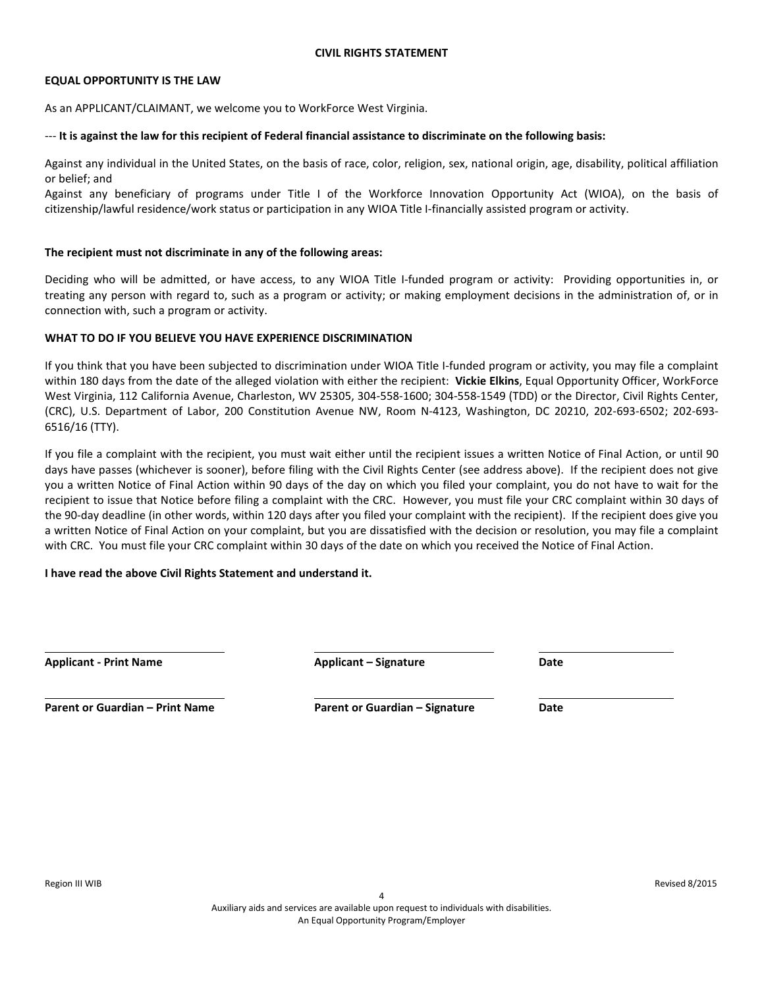#### **EQUAL OPPORTUNITY IS THE LAW**

As an APPLICANT/CLAIMANT, we welcome you to WorkForce West Virginia.

#### --- **It is against the law for this recipient of Federal financial assistance to discriminate on the following basis:**

Against any individual in the United States, on the basis of race, color, religion, sex, national origin, age, disability, political affiliation or belief; and

Against any beneficiary of programs under Title I of the Workforce Innovation Opportunity Act (WIOA), on the basis of citizenship/lawful residence/work status or participation in any WIOA Title I-financially assisted program or activity.

#### **The recipient must not discriminate in any of the following areas:**

Deciding who will be admitted, or have access, to any WIOA Title I-funded program or activity: Providing opportunities in, or treating any person with regard to, such as a program or activity; or making employment decisions in the administration of, or in connection with, such a program or activity.

### **WHAT TO DO IF YOU BELIEVE YOU HAVE EXPERIENCE DISCRIMINATION**

If you think that you have been subjected to discrimination under WIOA Title I-funded program or activity, you may file a complaint within 180 days from the date of the alleged violation with either the recipient: **Vickie Elkins**, Equal Opportunity Officer, WorkForce West Virginia, 112 California Avenue, Charleston, WV 25305, 304-558-1600; 304-558-1549 (TDD) or the Director, Civil Rights Center, (CRC), U.S. Department of Labor, 200 Constitution Avenue NW, Room N-4123, Washington, DC 20210, 202-693-6502; 202-693- 6516/16 (TTY).

If you file a complaint with the recipient, you must wait either until the recipient issues a written Notice of Final Action, or until 90 days have passes (whichever is sooner), before filing with the Civil Rights Center (see address above). If the recipient does not give you a written Notice of Final Action within 90 days of the day on which you filed your complaint, you do not have to wait for the recipient to issue that Notice before filing a complaint with the CRC. However, you must file your CRC complaint within 30 days of the 90-day deadline (in other words, within 120 days after you filed your complaint with the recipient). If the recipient does give you a written Notice of Final Action on your complaint, but you are dissatisfied with the decision or resolution, you may file a complaint with CRC. You must file your CRC complaint within 30 days of the date on which you received the Notice of Final Action.

### **I have read the above Civil Rights Statement and understand it.**

| <b>Applicant - Print Name</b> |  |
|-------------------------------|--|
|-------------------------------|--|

**Applicant - Print Name Applicant – Signature Date**

**Parent or Guardian – Print Name Parent or Guardian – Signature Date**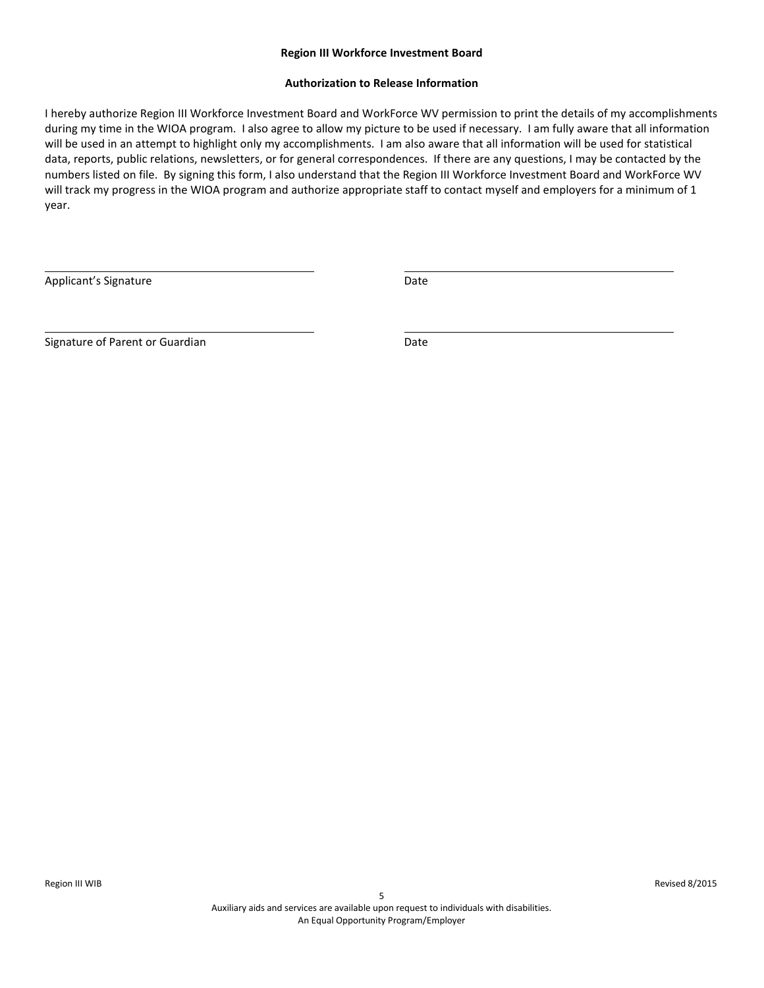#### **Region III Workforce Investment Board**

#### **Authorization to Release Information**

I hereby authorize Region III Workforce Investment Board and WorkForce WV permission to print the details of my accomplishments during my time in the WIOA program. I also agree to allow my picture to be used if necessary. I am fully aware that all information will be used in an attempt to highlight only my accomplishments. I am also aware that all information will be used for statistical data, reports, public relations, newsletters, or for general correspondences. If there are any questions, I may be contacted by the numbers listed on file. By signing this form, I also understand that the Region III Workforce Investment Board and WorkForce WV will track my progress in the WIOA program and authorize appropriate staff to contact myself and employers for a minimum of 1 year.

Applicant's Signature **Date** Date **Date** 

Signature of Parent or Guardian Date Date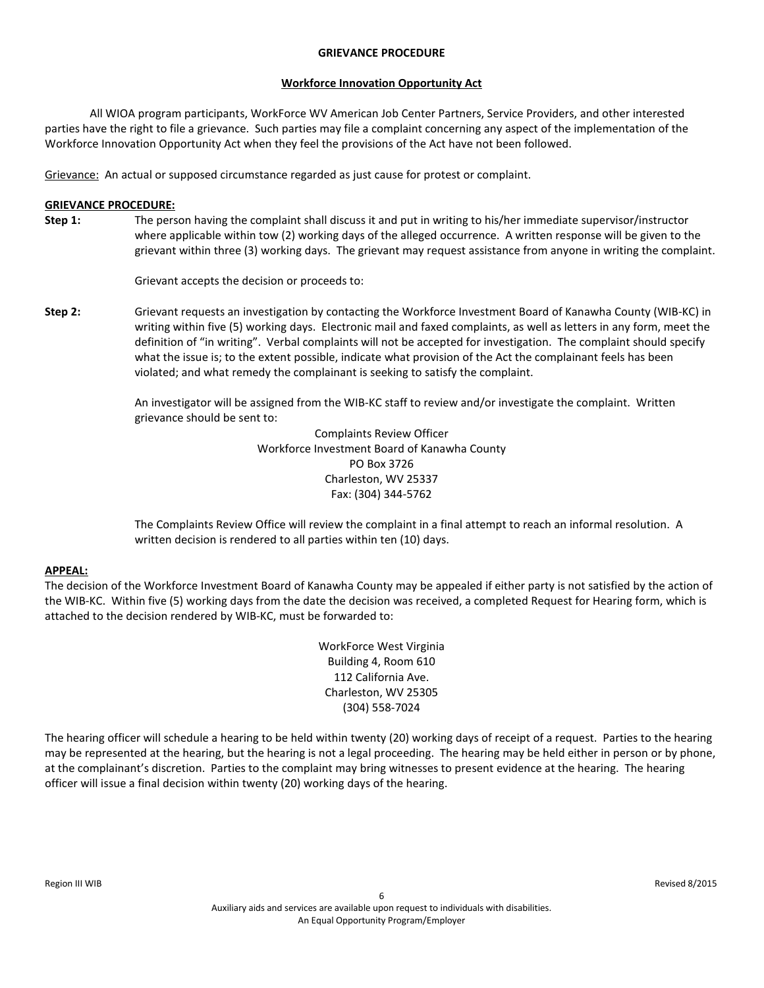#### **GRIEVANCE PROCEDURE**

### **Workforce Innovation Opportunity Act**

All WIOA program participants, WorkForce WV American Job Center Partners, Service Providers, and other interested parties have the right to file a grievance. Such parties may file a complaint concerning any aspect of the implementation of the Workforce Innovation Opportunity Act when they feel the provisions of the Act have not been followed.

Grievance: An actual or supposed circumstance regarded as just cause for protest or complaint.

### **GRIEVANCE PROCEDURE:**

**Step 1:** The person having the complaint shall discuss it and put in writing to his/her immediate supervisor/instructor where applicable within tow (2) working days of the alleged occurrence. A written response will be given to the grievant within three (3) working days. The grievant may request assistance from anyone in writing the complaint.

Grievant accepts the decision or proceeds to:

**Step 2:** Grievant requests an investigation by contacting the Workforce Investment Board of Kanawha County (WIB-KC) in writing within five (5) working days. Electronic mail and faxed complaints, as well as letters in any form, meet the definition of "in writing". Verbal complaints will not be accepted for investigation. The complaint should specify what the issue is; to the extent possible, indicate what provision of the Act the complainant feels has been violated; and what remedy the complainant is seeking to satisfy the complaint.

> An investigator will be assigned from the WIB-KC staff to review and/or investigate the complaint. Written grievance should be sent to:

> > Complaints Review Officer Workforce Investment Board of Kanawha County PO Box 3726 Charleston, WV 25337 Fax: (304) 344-5762

The Complaints Review Office will review the complaint in a final attempt to reach an informal resolution. A written decision is rendered to all parties within ten (10) days.

### **APPEAL:**

The decision of the Workforce Investment Board of Kanawha County may be appealed if either party is not satisfied by the action of the WIB-KC. Within five (5) working days from the date the decision was received, a completed Request for Hearing form, which is attached to the decision rendered by WIB-KC, must be forwarded to:

> WorkForce West Virginia Building 4, Room 610 112 California Ave. Charleston, WV 25305 (304) 558-7024

The hearing officer will schedule a hearing to be held within twenty (20) working days of receipt of a request. Parties to the hearing may be represented at the hearing, but the hearing is not a legal proceeding. The hearing may be held either in person or by phone, at the complainant's discretion. Parties to the complaint may bring witnesses to present evidence at the hearing. The hearing officer will issue a final decision within twenty (20) working days of the hearing.